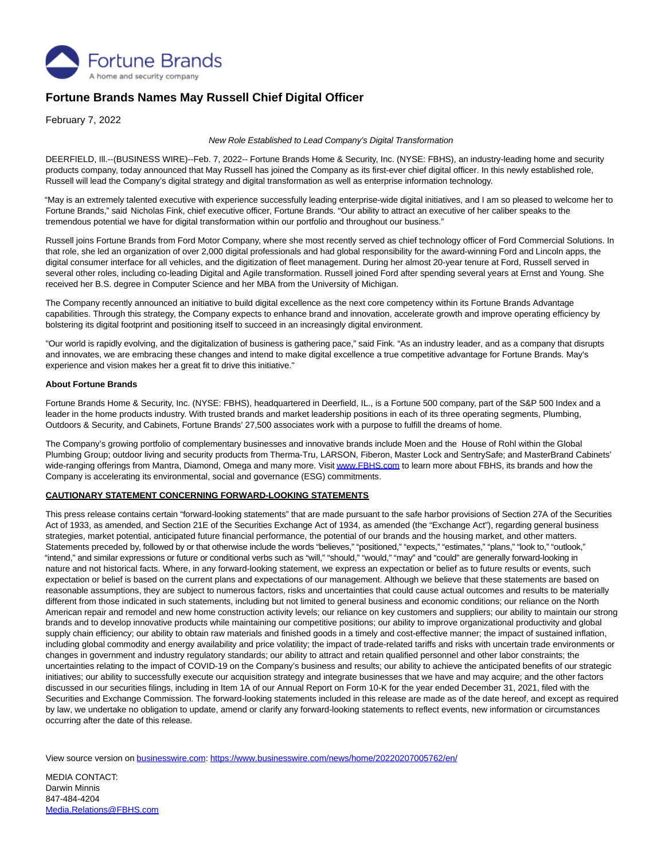

## **Fortune Brands Names May Russell Chief Digital Officer**

February 7, 2022

## New Role Established to Lead Company's Digital Transformation

DEERFIELD, Ill.--(BUSINESS WIRE)--Feb. 7, 2022-- Fortune Brands Home & Security, Inc. (NYSE: FBHS), an industry-leading home and security products company, today announced that May Russell has joined the Company as its first-ever chief digital officer. In this newly established role, Russell will lead the Company's digital strategy and digital transformation as well as enterprise information technology.

"May is an extremely talented executive with experience successfully leading enterprise-wide digital initiatives, and I am so pleased to welcome her to Fortune Brands," said Nicholas Fink, chief executive officer, Fortune Brands. "Our ability to attract an executive of her caliber speaks to the tremendous potential we have for digital transformation within our portfolio and throughout our business."

Russell joins Fortune Brands from Ford Motor Company, where she most recently served as chief technology officer of Ford Commercial Solutions. In that role, she led an organization of over 2,000 digital professionals and had global responsibility for the award-winning Ford and Lincoln apps, the digital consumer interface for all vehicles, and the digitization of fleet management. During her almost 20-year tenure at Ford, Russell served in several other roles, including co-leading Digital and Agile transformation. Russell joined Ford after spending several years at Ernst and Young. She received her B.S. degree in Computer Science and her MBA from the University of Michigan.

The Company recently announced an initiative to build digital excellence as the next core competency within its Fortune Brands Advantage capabilities. Through this strategy, the Company expects to enhance brand and innovation, accelerate growth and improve operating efficiency by bolstering its digital footprint and positioning itself to succeed in an increasingly digital environment.

"Our world is rapidly evolving, and the digitalization of business is gathering pace," said Fink. "As an industry leader, and as a company that disrupts and innovates, we are embracing these changes and intend to make digital excellence a true competitive advantage for Fortune Brands. May's experience and vision makes her a great fit to drive this initiative."

## **About Fortune Brands**

Fortune Brands Home & Security, Inc. (NYSE: FBHS), headquartered in Deerfield, IL., is a Fortune 500 company, part of the S&P 500 Index and a leader in the home products industry. With trusted brands and market leadership positions in each of its three operating segments, Plumbing, Outdoors & Security, and Cabinets, Fortune Brands' 27,500 associates work with a purpose to fulfill the dreams of home.

The Company's growing portfolio of complementary businesses and innovative brands include Moen and the House of Rohl within the Global Plumbing Group; outdoor living and security products from Therma-Tru, LARSON, Fiberon, Master Lock and SentrySafe; and MasterBrand Cabinets' wide-ranging offerings from Mantra, Diamond, Omega and many more. Visi[t www.FBHS.com t](https://cts.businesswire.com/ct/CT?id=smartlink&url=http%3A%2F%2Fwww.FBHS.com&esheet=52575151&newsitemid=20220207005762&lan=en-US&anchor=www.FBHS.com&index=1&md5=a317820de79a939fe6afbaa7c8bb941c)o learn more about FBHS, its brands and how the Company is accelerating its environmental, social and governance (ESG) commitments.

## **CAUTIONARY STATEMENT CONCERNING FORWARD-LOOKING STATEMENTS**

This press release contains certain "forward-looking statements" that are made pursuant to the safe harbor provisions of Section 27A of the Securities Act of 1933, as amended, and Section 21E of the Securities Exchange Act of 1934, as amended (the "Exchange Act"), regarding general business strategies, market potential, anticipated future financial performance, the potential of our brands and the housing market, and other matters. Statements preceded by, followed by or that otherwise include the words "believes," "positioned," "expects," "estimates," "plans," "look to," "outlook," "intend," and similar expressions or future or conditional verbs such as "will," "should," "would," "may" and "could" are generally forward-looking in nature and not historical facts. Where, in any forward-looking statement, we express an expectation or belief as to future results or events, such expectation or belief is based on the current plans and expectations of our management. Although we believe that these statements are based on reasonable assumptions, they are subject to numerous factors, risks and uncertainties that could cause actual outcomes and results to be materially different from those indicated in such statements, including but not limited to general business and economic conditions; our reliance on the North American repair and remodel and new home construction activity levels; our reliance on key customers and suppliers; our ability to maintain our strong brands and to develop innovative products while maintaining our competitive positions; our ability to improve organizational productivity and global supply chain efficiency; our ability to obtain raw materials and finished goods in a timely and cost-effective manner; the impact of sustained inflation, including global commodity and energy availability and price volatility; the impact of trade-related tariffs and risks with uncertain trade environments or changes in government and industry regulatory standards; our ability to attract and retain qualified personnel and other labor constraints; the uncertainties relating to the impact of COVID-19 on the Company's business and results; our ability to achieve the anticipated benefits of our strategic initiatives; our ability to successfully execute our acquisition strategy and integrate businesses that we have and may acquire; and the other factors discussed in our securities filings, including in Item 1A of our Annual Report on Form 10-K for the year ended December 31, 2021, filed with the Securities and Exchange Commission. The forward-looking statements included in this release are made as of the date hereof, and except as required by law, we undertake no obligation to update, amend or clarify any forward-looking statements to reflect events, new information or circumstances occurring after the date of this release.

View source version on [businesswire.com:](http://businesswire.com/)<https://www.businesswire.com/news/home/20220207005762/en/>

MEDIA CONTACT: Darwin Minnis 847-484-4204 [Media.Relations@FBHS.com](mailto:Media.Relations@FBHS.com)